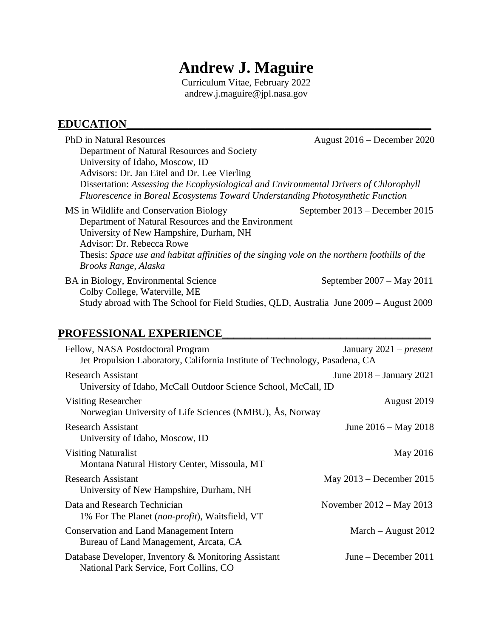# **Andrew J. Maguire**

Curriculum Vitae, February 2022 andrew.j.maguire@jpl.nasa.gov

# **EDUCATION\_\_\_\_\_\_\_\_\_\_\_\_\_\_\_\_\_\_\_\_\_\_\_\_\_\_\_\_\_\_\_\_\_\_\_\_\_\_\_\_\_\_\_\_\_\_\_\_\_\_\_\_\_\_**

| August 2016 – December 2020                                                                                                                                                            |
|----------------------------------------------------------------------------------------------------------------------------------------------------------------------------------------|
|                                                                                                                                                                                        |
|                                                                                                                                                                                        |
|                                                                                                                                                                                        |
| Dissertation: Assessing the Ecophysiological and Environmental Drivers of Chlorophyll                                                                                                  |
| Fluorescence in Boreal Ecosystems Toward Understanding Photosynthetic Function                                                                                                         |
| September 2013 – December 2015<br>Department of Natural Resources and the Environment<br>Thesis: Space use and habitat affinities of the singing vole on the northern foothills of the |
| September $2007 - May 2011$<br>Study abroad with The School for Field Studies, QLD, Australia June 2009 – August 2009                                                                  |
|                                                                                                                                                                                        |

# **PROFESSIONAL EXPERIENCE\_\_\_\_\_\_\_\_\_\_\_\_\_\_\_\_\_\_\_\_\_\_\_\_\_\_\_\_\_\_\_\_\_\_\_\_\_**

| Fellow, NASA Postdoctoral Program<br>Jet Propulsion Laboratory, California Institute of Technology, Pasadena, CA | January $2021$ – <i>present</i> |
|------------------------------------------------------------------------------------------------------------------|---------------------------------|
| <b>Research Assistant</b><br>University of Idaho, McCall Outdoor Science School, McCall, ID                      | June $2018 -$ January $2021$    |
| Visiting Researcher<br>Norwegian University of Life Sciences (NMBU), Ås, Norway                                  | August 2019                     |
| <b>Research Assistant</b><br>University of Idaho, Moscow, ID                                                     | June $2016 - May 2018$          |
| <b>Visiting Naturalist</b><br>Montana Natural History Center, Missoula, MT                                       | May 2016                        |
| <b>Research Assistant</b><br>University of New Hampshire, Durham, NH                                             | May 2013 – December 2015        |
| Data and Research Technician<br>1% For The Planet ( <i>non-profit</i> ), Waitsfield, VT                          | November $2012 - May 2013$      |
| <b>Conservation and Land Management Intern</b><br>Bureau of Land Management, Arcata, CA                          | March $-$ August 2012           |
| Database Developer, Inventory & Monitoring Assistant<br>National Park Service, Fort Collins, CO                  | June – December 2011            |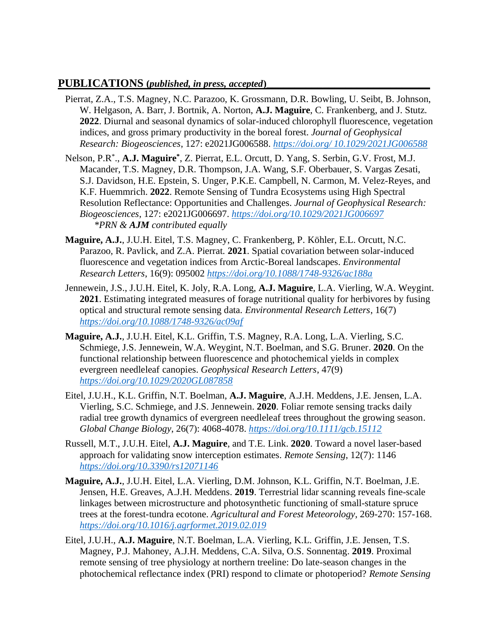#### **PUBLICATIONS (***published, in press, accepted***)\_\_\_\_\_\_\_\_\_\_\_\_\_\_\_\_\_\_\_\_\_\_\_\_\_\_\_\_\_**

- Pierrat, Z.A., T.S. Magney, N.C. Parazoo, K. Grossmann, D.R. Bowling, U. Seibt, B. Johnson, W. Helgason, A. Barr, J. Bortnik, A. Norton, **A.J. Maguire**, C. Frankenberg, and J. Stutz. **2022**. Diurnal and seasonal dynamics of solar-induced chlorophyll fluorescence, vegetation indices, and gross primary productivity in the boreal forest. *Journal of Geophysical Research: Biogeosciences*, 127: e2021JG006588. *https://doi.org/ [10.1029/2021JG006588](https://doi.org/%2010.1029/2021JG006588)*
- Nelson, P.R<sup>\*</sup>., A.J. Maguire<sup>\*</sup>, Z. Pierrat, E.L. Orcutt, D. Yang, S. Serbin, G.V. Frost, M.J. Macander, T.S. Magney, D.R. Thompson, J.A. Wang, S.F. Oberbauer, S. Vargas Zesati, S.J. Davidson, H.E. Epstein, S. Unger, P.K.E. Campbell, N. Carmon, M. Velez-Reyes, and K.F. Huemmrich. **2022**. Remote Sensing of Tundra Ecosystems using High Spectral Resolution Reflectance: Opportunities and Challenges. *Journal of Geophysical Research: Biogeosciences*, 127: e2021JG006697. *<https://doi.org/10.1029/2021JG006697> \*PRN & AJM contributed equally*
- **Maguire, A.J.**, J.U.H. Eitel, T.S. Magney, C. Frankenberg, P. Köhler, E.L. Orcutt, N.C. Parazoo, R. Pavlick, and Z.A. Pierrat*.* **2021**. Spatial covariation between solar-induced fluorescence and vegetation indices from Arctic-Boreal landscapes. *Environmental Research Letters*, 16(9): 095002 *<https://doi.org/10.1088/1748-9326/ac188a>*
- Jennewein, J.S., J.U.H. Eitel, K. Joly, R.A. Long, **A.J. Maguire**, L.A. Vierling, W.A. Weygint. **2021**. Estimating integrated measures of forage nutritional quality for herbivores by fusing optical and structural remote sensing data. *Environmental Research Letters*, 16(7) *<https://doi.org/10.1088/1748-9326/ac09af>*
- **Maguire, A.J.**, J.U.H. Eitel, K.L. Griffin, T.S. Magney, R.A. Long, L.A. Vierling, S.C. Schmiege, J.S. Jennewein, W.A. Weygint, N.T. Boelman, and S.G. Bruner. **2020**. On the functional relationship between fluorescence and photochemical yields in complex evergreen needleleaf canopies. *Geophysical Research Letters*, 47(9) *<https://doi.org/10.1029/2020GL087858>*
- Eitel, J.U.H., K.L. Griffin, N.T. Boelman, **A.J. Maguire**, A.J.H. Meddens, J.E. Jensen, L.A. Vierling, S.C. Schmiege, and J.S. Jennewein. **2020**. Foliar remote sensing tracks daily radial tree growth dynamics of evergreen needleleaf trees throughout the growing season. *Global Change Biology*, 26(7): 4068-4078. *<https://doi.org/10.1111/gcb.15112>*
- Russell, M.T., J.U.H. Eitel, **A.J. Maguire**, and T.E. Link. **2020**. Toward a novel laser-based approach for validating snow interception estimates. *Remote Sensing*, 12(7): 1146 *<https://doi.org/10.3390/rs12071146>*
- **Maguire, A.J.**, J.U.H. Eitel, L.A. Vierling, D.M. Johnson, K.L. Griffin, N.T. Boelman, J.E. Jensen, H.E. Greaves, A.J.H. Meddens. **2019**. Terrestrial lidar scanning reveals fine-scale linkages between microstructure and photosynthetic functioning of small-stature spruce trees at the forest-tundra ecotone. *Agricultural and Forest Meteorology*, 269-270: 157-168. *<https://doi.org/10.1016/j.agrformet.2019.02.019>*
- Eitel, J.U.H., **A.J. Maguire**, N.T. Boelman, L.A. Vierling, K.L. Griffin, J.E. Jensen, T.S. Magney, P.J. Mahoney, A.J.H. Meddens, C.A. Silva, O.S. Sonnentag. **2019**. Proximal remote sensing of tree physiology at northern treeline: Do late-season changes in the photochemical reflectance index (PRI) respond to climate or photoperiod? *Remote Sensing*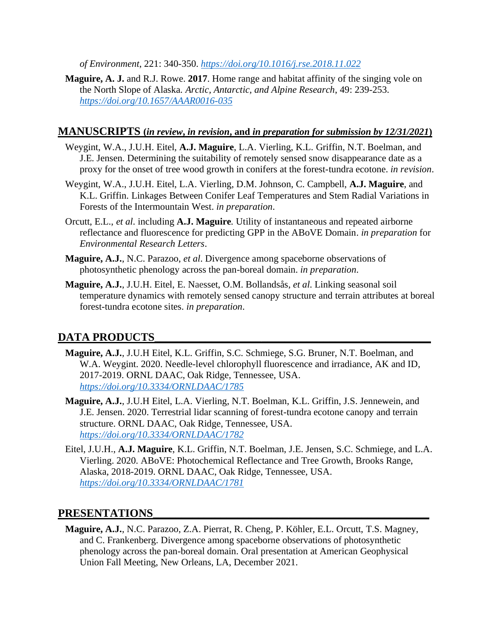*of Environment*, 221: 340-350. *<https://doi.org/10.1016/j.rse.2018.11.022>*

**Maguire, A. J.** and R.J. Rowe. **2017**. Home range and habitat affinity of the singing vole on the North Slope of Alaska. *Arctic, Antarctic, and Alpine Research*, 49: 239-253. *<https://doi.org/10.1657/AAAR0016-035>*

#### **MANUSCRIPTS (***in review***,** *in revision***, and** *in preparation for submission by 12/31/2021***)**

- Weygint, W.A., J.U.H. Eitel, **A.J. Maguire**, L.A. Vierling, K.L. Griffin, N.T. Boelman, and J.E. Jensen. Determining the suitability of remotely sensed snow disappearance date as a proxy for the onset of tree wood growth in conifers at the forest-tundra ecotone. *in revision*.
- Weygint, W.A., J.U.H. Eitel, L.A. Vierling, D.M. Johnson, C. Campbell, **A.J. Maguire**, and K.L. Griffin. Linkages Between Conifer Leaf Temperatures and Stem Radial Variations in Forests of the Intermountain West. *in preparation*.
- Orcutt, E.L., *et al*. including **A.J. Maguire***.* Utility of instantaneous and repeated airborne reflectance and fluorescence for predicting GPP in the ABoVE Domain. *in preparation* for *Environmental Research Letters*.
- **Maguire, A.J.**, N.C. Parazoo, *et al*. Divergence among spaceborne observations of photosynthetic phenology across the pan-boreal domain. *in preparation*.
- **Maguire, A.J.**, J.U.H. Eitel, E. Naesset, O.M. Bollandsås, *et al*. Linking seasonal soil temperature dynamics with remotely sensed canopy structure and terrain attributes at boreal forest-tundra ecotone sites. *in preparation*.

## DATA PRODUCTS

- **Maguire, A.J.**, J.U.H Eitel, K.L. Griffin, S.C. Schmiege, S.G. Bruner, N.T. Boelman, and W.A. Weygint. 2020. Needle-level chlorophyll fluorescence and irradiance, AK and ID, 2017-2019. ORNL DAAC, Oak Ridge, Tennessee, USA. *[https://doi.org/10.3334/ORNLDAAC/1785](https://urldefense.com/v3/__https:/doi.org/10.3334/ORNLDAAC/1785__;!!JYXjzlvb!yKG3RxR5v6HQcmevCHvwwPj_0Nk2S-w2LAKW3CheGbKEfpJWPgs-iwINl_wWTtHj-Q$)*
- **Maguire, A.J.**, J.U.H Eitel, L.A. Vierling, N.T. Boelman, K.L. Griffin, J.S. Jennewein, and J.E. Jensen. 2020. Terrestrial lidar scanning of forest-tundra ecotone canopy and terrain structure. ORNL DAAC, Oak Ridge, Tennessee, USA. *<https://doi.org/10.3334/ORNLDAAC/1782>*
- Eitel, J.U.H., **A.J. Maguire**, K.L. Griffin, N.T. Boelman, J.E. Jensen, S.C. Schmiege, and L.A. Vierling. 2020. ABoVE: Photochemical Reflectance and Tree Growth, Brooks Range, Alaska, 2018-2019. ORNL DAAC, Oak Ridge, Tennessee, USA. *<https://doi.org/10.3334/ORNLDAAC/1781>*

## **PRESENTATIONS\_\_\_\_\_\_\_\_\_\_\_\_\_\_\_\_\_\_\_\_\_\_\_\_\_\_\_\_\_\_\_\_\_\_\_\_\_\_\_\_\_\_\_\_\_\_\_\_\_**

**Maguire, A.J.**, N.C. Parazoo, Z.A. Pierrat, R. Cheng, P. Köhler, E.L. Orcutt, T.S. Magney, and C. Frankenberg. Divergence among spaceborne observations of photosynthetic phenology across the pan-boreal domain. Oral presentation at American Geophysical Union Fall Meeting, New Orleans, LA, December 2021.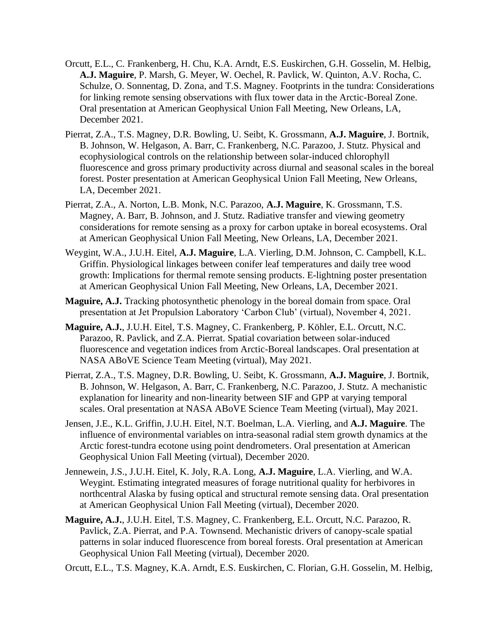- Orcutt, E.L., C. Frankenberg, H. Chu, K.A. Arndt, E.S. Euskirchen, G.H. Gosselin, M. Helbig, **A.J. Maguire**, P. Marsh, G. Meyer, W. Oechel, R. Pavlick, W. Quinton, A.V. Rocha, C. Schulze, O. Sonnentag, D. Zona, and T.S. Magney. Footprints in the tundra: Considerations for linking remote sensing observations with flux tower data in the Arctic-Boreal Zone. Oral presentation at American Geophysical Union Fall Meeting, New Orleans, LA, December 2021.
- Pierrat, Z.A., T.S. Magney, D.R. Bowling, U. Seibt, K. Grossmann, **A.J. Maguire**, J. Bortnik, B. Johnson, W. Helgason, A. Barr, C. Frankenberg, N.C. Parazoo, J. Stutz. Physical and ecophysiological controls on the relationship between solar-induced chlorophyll fluorescence and gross primary productivity across diurnal and seasonal scales in the boreal forest. Poster presentation at American Geophysical Union Fall Meeting, New Orleans, LA, December 2021.
- Pierrat, Z.A., A. Norton, L.B. Monk, N.C. Parazoo, **A.J. Maguire**, K. Grossmann, T.S. Magney, A. Barr, B. Johnson, and J. Stutz. Radiative transfer and viewing geometry considerations for remote sensing as a proxy for carbon uptake in boreal ecosystems. Oral at American Geophysical Union Fall Meeting, New Orleans, LA, December 2021.
- Weygint, W.A., J.U.H. Eitel, **A.J. Maguire**, L.A. Vierling, D.M. Johnson, C. Campbell, K.L. Griffin. Physiological linkages between conifer leaf temperatures and daily tree wood growth: Implications for thermal remote sensing products. E-lightning poster presentation at American Geophysical Union Fall Meeting, New Orleans, LA, December 2021.
- **Maguire, A.J.** Tracking photosynthetic phenology in the boreal domain from space. Oral presentation at Jet Propulsion Laboratory 'Carbon Club' (virtual), November 4, 2021.
- **Maguire, A.J.**, J.U.H. Eitel, T.S. Magney, C. Frankenberg, P. Köhler, E.L. Orcutt, N.C. Parazoo, R. Pavlick, and Z.A. Pierrat. Spatial covariation between solar-induced fluorescence and vegetation indices from Arctic-Boreal landscapes. Oral presentation at NASA ABoVE Science Team Meeting (virtual), May 2021.
- Pierrat, Z.A., T.S. Magney, D.R. Bowling, U. Seibt, K. Grossmann, **A.J. Maguire**, J. Bortnik, B. Johnson, W. Helgason, A. Barr, C. Frankenberg, N.C. Parazoo, J. Stutz. A mechanistic explanation for linearity and non-linearity between SIF and GPP at varying temporal scales. Oral presentation at NASA ABoVE Science Team Meeting (virtual), May 2021.
- Jensen, J.E., K.L. Griffin, J.U.H. Eitel, N.T. Boelman, L.A. Vierling, and **A.J. Maguire**. The influence of environmental variables on intra-seasonal radial stem growth dynamics at the Arctic forest-tundra ecotone using point dendrometers. Oral presentation at American Geophysical Union Fall Meeting (virtual), December 2020.
- Jennewein, J.S., J.U.H. Eitel, K. Joly, R.A. Long, **A.J. Maguire**, L.A. Vierling, and W.A. Weygint. Estimating integrated measures of forage nutritional quality for herbivores in northcentral Alaska by fusing optical and structural remote sensing data. Oral presentation at American Geophysical Union Fall Meeting (virtual), December 2020.
- **Maguire, A.J.**, J.U.H. Eitel, T.S. Magney, C. Frankenberg, E.L. Orcutt, N.C. Parazoo, R. Pavlick, Z.A. Pierrat, and P.A. Townsend. Mechanistic drivers of canopy-scale spatial patterns in solar induced fluorescence from boreal forests. Oral presentation at American Geophysical Union Fall Meeting (virtual), December 2020.

Orcutt, E.L., T.S. Magney, K.A. Arndt, E.S. Euskirchen, C. Florian, G.H. Gosselin, M. Helbig,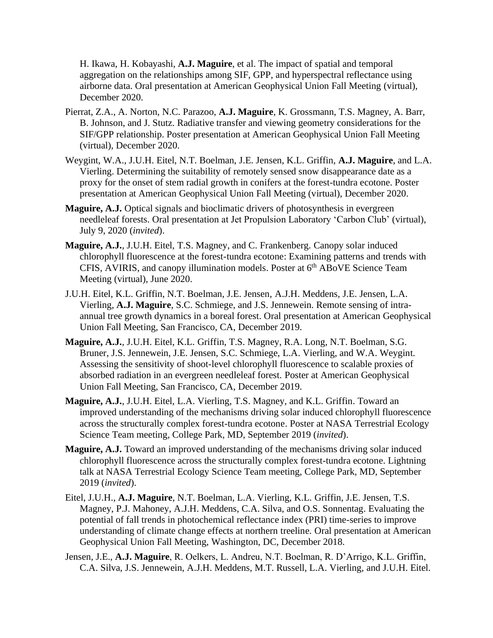H. Ikawa, H. Kobayashi, **A.J. Maguire**, et al. The impact of spatial and temporal aggregation on the relationships among SIF, GPP, and hyperspectral reflectance using airborne data. Oral presentation at American Geophysical Union Fall Meeting (virtual), December 2020.

- Pierrat, Z.A., A. Norton, N.C. Parazoo, **A.J. Maguire**, K. Grossmann, T.S. Magney, A. Barr, B. Johnson, and J. Stutz. Radiative transfer and viewing geometry considerations for the SIF/GPP relationship. Poster presentation at American Geophysical Union Fall Meeting (virtual), December 2020.
- Weygint, W.A., J.U.H. Eitel, N.T. Boelman, J.E. Jensen, K.L. Griffin, **A.J. Maguire**, and L.A. Vierling. Determining the suitability of remotely sensed snow disappearance date as a proxy for the onset of stem radial growth in conifers at the forest-tundra ecotone. Poster presentation at American Geophysical Union Fall Meeting (virtual), December 2020.
- **Maguire, A.J.** Optical signals and bioclimatic drivers of photosynthesis in evergreen needleleaf forests. Oral presentation at Jet Propulsion Laboratory 'Carbon Club' (virtual), July 9, 2020 (*invited*).
- **Maguire, A.J.**, J.U.H. Eitel, T.S. Magney, and C. Frankenberg. Canopy solar induced chlorophyll fluorescence at the forest-tundra ecotone: Examining patterns and trends with CFIS, AVIRIS, and canopy illumination models. Poster at 6<sup>th</sup> ABoVE Science Team Meeting (virtual), June 2020.
- J.U.H. Eitel, K.L. Griffin, N.T. Boelman, J.E. Jensen, A.J.H. Meddens, J.E. Jensen, L.A. Vierling, **A.J. Maguire**, S.C. Schmiege, and J.S. Jennewein. Remote sensing of intraannual tree growth dynamics in a boreal forest. Oral presentation at American Geophysical Union Fall Meeting, San Francisco, CA, December 2019.
- **Maguire, A.J.**, J.U.H. Eitel, K.L. Griffin, T.S. Magney, R.A. Long, N.T. Boelman, S.G. Bruner, J.S. Jennewein, J.E. Jensen, S.C. Schmiege, L.A. Vierling, and W.A. Weygint. Assessing the sensitivity of shoot-level chlorophyll fluorescence to scalable proxies of absorbed radiation in an evergreen needleleaf forest. Poster at American Geophysical Union Fall Meeting, San Francisco, CA, December 2019.
- **Maguire, A.J.**, J.U.H. Eitel, L.A. Vierling, T.S. Magney, and K.L. Griffin. Toward an improved understanding of the mechanisms driving solar induced chlorophyll fluorescence across the structurally complex forest-tundra ecotone. Poster at NASA Terrestrial Ecology Science Team meeting, College Park, MD, September 2019 (*invited*).
- **Maguire, A.J.** Toward an improved understanding of the mechanisms driving solar induced chlorophyll fluorescence across the structurally complex forest-tundra ecotone. Lightning talk at NASA Terrestrial Ecology Science Team meeting, College Park, MD, September 2019 (*invited*).
- Eitel, J.U.H., **A.J. Maguire**, N.T. Boelman, L.A. Vierling, K.L. Griffin, J.E. Jensen, T.S. Magney, P.J. Mahoney, A.J.H. Meddens, C.A. Silva, and O.S. Sonnentag. Evaluating the potential of fall trends in photochemical reflectance index (PRI) time-series to improve understanding of climate change effects at northern treeline. Oral presentation at American Geophysical Union Fall Meeting, Washington, DC, December 2018.
- Jensen, J.E., **A.J. Maguire**, R. Oelkers, L. Andreu, N.T. Boelman, R. D'Arrigo, K.L. Griffin, C.A. Silva, J.S. Jennewein, A.J.H. Meddens, M.T. Russell, L.A. Vierling, and J.U.H. Eitel.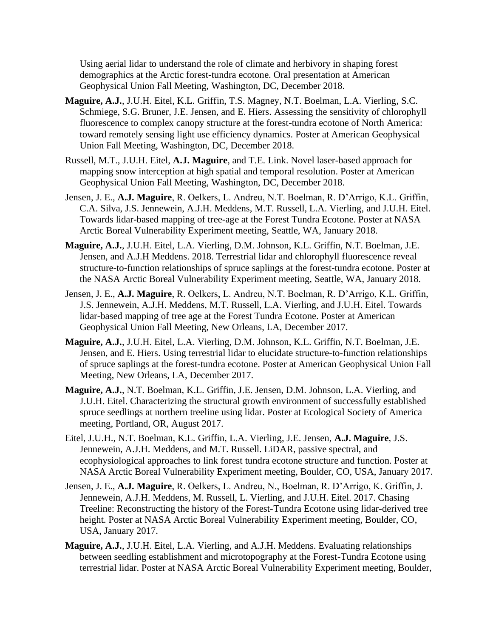Using aerial lidar to understand the role of climate and herbivory in shaping forest demographics at the Arctic forest-tundra ecotone. Oral presentation at American Geophysical Union Fall Meeting, Washington, DC, December 2018.

- **Maguire, A.J.**, J.U.H. Eitel, K.L. Griffin, T.S. Magney, N.T. Boelman, L.A. Vierling, S.C. Schmiege, S.G. Bruner, J.E. Jensen, and E. Hiers. Assessing the sensitivity of chlorophyll fluorescence to complex canopy structure at the forest-tundra ecotone of North America: toward remotely sensing light use efficiency dynamics. Poster at American Geophysical Union Fall Meeting, Washington, DC, December 2018.
- Russell, M.T., J.U.H. Eitel, **A.J. Maguire**, and T.E. Link. Novel laser-based approach for mapping snow interception at high spatial and temporal resolution. Poster at American Geophysical Union Fall Meeting, Washington, DC, December 2018.
- Jensen, J. E., **A.J. Maguire**, R. Oelkers, L. Andreu, N.T. Boelman, R. D'Arrigo, K.L. Griffin, C.A. Silva, J.S. Jennewein, A.J.H. Meddens, M.T. Russell, L.A. Vierling, and J.U.H. Eitel. Towards lidar-based mapping of tree-age at the Forest Tundra Ecotone. Poster at NASA Arctic Boreal Vulnerability Experiment meeting, Seattle, WA, January 2018.
- **Maguire, A.J.**, J.U.H. Eitel, L.A. Vierling, D.M. Johnson, K.L. Griffin, N.T. Boelman, J.E. Jensen, and A.J.H Meddens. 2018. Terrestrial lidar and chlorophyll fluorescence reveal structure-to-function relationships of spruce saplings at the forest-tundra ecotone. Poster at the NASA Arctic Boreal Vulnerability Experiment meeting, Seattle, WA, January 2018.
- Jensen, J. E., **A.J. Maguire**, R. Oelkers, L. Andreu, N.T. Boelman, R. D'Arrigo, K.L. Griffin, J.S. Jennewein, A.J.H. Meddens, M.T. Russell, L.A. Vierling, and J.U.H. Eitel. Towards lidar-based mapping of tree age at the Forest Tundra Ecotone. Poster at American Geophysical Union Fall Meeting, New Orleans, LA, December 2017.
- **Maguire, A.J.**, J.U.H. Eitel, L.A. Vierling, D.M. Johnson, K.L. Griffin, N.T. Boelman, J.E. Jensen, and E. Hiers. Using terrestrial lidar to elucidate structure-to-function relationships of spruce saplings at the forest-tundra ecotone. Poster at American Geophysical Union Fall Meeting, New Orleans, LA, December 2017.
- **Maguire, A.J.**, N.T. Boelman, K.L. Griffin, J.E. Jensen, D.M. Johnson, L.A. Vierling, and J.U.H. Eitel. Characterizing the structural growth environment of successfully established spruce seedlings at northern treeline using lidar. Poster at Ecological Society of America meeting, Portland, OR, August 2017.
- Eitel, J.U.H., N.T. Boelman, K.L. Griffin, L.A. Vierling, J.E. Jensen, **A.J. Maguire**, J.S. Jennewein, A.J.H. Meddens, and M.T. Russell. LiDAR, passive spectral, and ecophysiological approaches to link forest tundra ecotone structure and function. Poster at NASA Arctic Boreal Vulnerability Experiment meeting, Boulder, CO, USA, January 2017.
- Jensen, J. E., **A.J. Maguire**, R. Oelkers, L. Andreu, N., Boelman, R. D'Arrigo, K. Griffin, J. Jennewein, A.J.H. Meddens, M. Russell, L. Vierling, and J.U.H. Eitel. 2017. Chasing Treeline: Reconstructing the history of the Forest-Tundra Ecotone using lidar-derived tree height. Poster at NASA Arctic Boreal Vulnerability Experiment meeting, Boulder, CO, USA, January 2017.
- **Maguire, A.J.**, J.U.H. Eitel, L.A. Vierling, and A.J.H. Meddens. Evaluating relationships between seedling establishment and microtopography at the Forest-Tundra Ecotone using terrestrial lidar. Poster at NASA Arctic Boreal Vulnerability Experiment meeting, Boulder,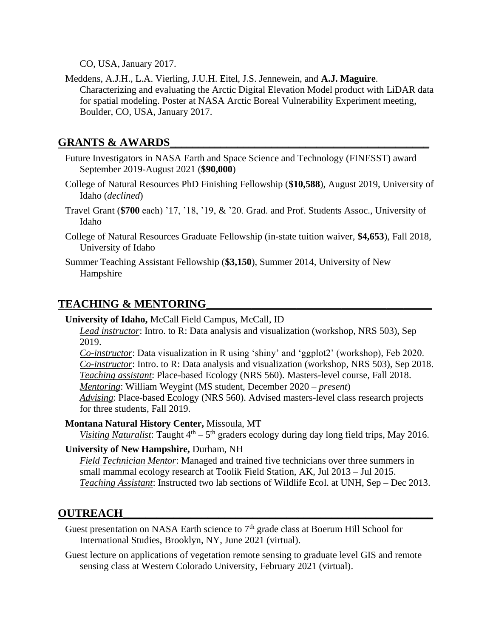CO, USA, January 2017.

Meddens, A.J.H., L.A. Vierling, J.U.H. Eitel, J.S. Jennewein, and **A.J. Maguire**. Characterizing and evaluating the Arctic Digital Elevation Model product with LiDAR data for spatial modeling. Poster at NASA Arctic Boreal Vulnerability Experiment meeting, Boulder, CO, USA, January 2017.

## GRANTS & AWARDS

- Future Investigators in NASA Earth and Space Science and Technology (FINESST) award September 2019-August 2021 (**\$90,000**)
- College of Natural Resources PhD Finishing Fellowship (**\$10,588**), August 2019, University of Idaho (*declined*)
- Travel Grant (**\$700** each) '17, '18, '19, & '20. Grad. and Prof. Students Assoc., University of Idaho
- College of Natural Resources Graduate Fellowship (in-state tuition waiver, **\$4,653**), Fall 2018, University of Idaho
- Summer Teaching Assistant Fellowship (**\$3,150**), Summer 2014, University of New Hampshire

# **TEACHING & MENTORING\_\_\_\_\_\_\_\_\_\_\_\_\_\_\_\_\_\_\_\_\_\_\_\_\_\_\_\_\_\_\_\_\_\_\_\_\_\_\_\_**

**University of Idaho,** McCall Field Campus, McCall, ID

*Lead instructor*: Intro. to R: Data analysis and visualization (workshop, NRS 503), Sep 2019.

*Co-instructor*: Data visualization in R using 'shiny' and 'ggplot2' (workshop), Feb 2020. *Co-instructor*: Intro. to R: Data analysis and visualization (workshop, NRS 503), Sep 2018. *Teaching assistant*: Place-based Ecology (NRS 560). Masters-level course, Fall 2018. *Mentoring*: William Weygint (MS student, December 2020 – *present*)

*Advising*: Place-based Ecology (NRS 560). Advised masters-level class research projects for three students, Fall 2019.

**Montana Natural History Center,** Missoula, MT

Visiting Naturalist: Taught 4<sup>th</sup> – 5<sup>th</sup> graders ecology during day long field trips, May 2016.

#### **University of New Hampshire,** Durham, NH

*Field Technician Mentor*: Managed and trained five technicians over three summers in small mammal ecology research at Toolik Field Station, AK, Jul 2013 – Jul 2015. *Teaching Assistant*: Instructed two lab sections of Wildlife Ecol. at UNH, Sep – Dec 2013.

## **OUTREACH\_\_\_\_\_\_\_\_\_\_\_\_\_\_\_\_\_\_\_\_\_\_\_\_\_\_\_\_\_\_\_\_\_\_\_\_\_\_\_\_\_\_\_\_\_\_\_\_\_\_\_\_\_\_\_**

Guest presentation on NASA Earth science to  $7<sup>th</sup>$  grade class at Boerum Hill School for International Studies, Brooklyn, NY, June 2021 (virtual).

Guest lecture on applications of vegetation remote sensing to graduate level GIS and remote sensing class at Western Colorado University, February 2021 (virtual).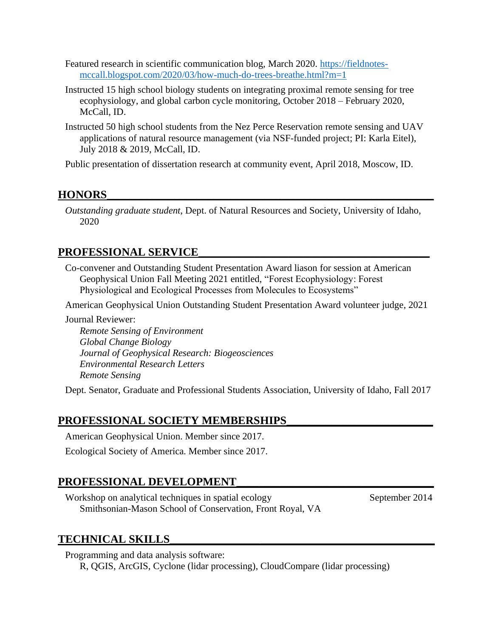- Featured research in scientific communication blog, March 2020. [https://fieldnotes](https://fieldnotes-mccall.blogspot.com/2020/03/how-much-do-trees-breathe.html?m=1)[mccall.blogspot.com/2020/03/how-much-do-trees-breathe.html?m=1](https://fieldnotes-mccall.blogspot.com/2020/03/how-much-do-trees-breathe.html?m=1)
- Instructed 15 high school biology students on integrating proximal remote sensing for tree ecophysiology, and global carbon cycle monitoring, October 2018 – February 2020, McCall, ID.
- Instructed 50 high school students from the Nez Perce Reservation remote sensing and UAV applications of natural resource management (via NSF-funded project; PI: Karla Eitel), July 2018 & 2019, McCall, ID.

Public presentation of dissertation research at community event, April 2018, Moscow, ID.

# **HONORS\_\_\_\_\_\_\_\_\_\_\_\_\_\_\_\_\_\_\_\_\_\_\_\_\_\_\_\_\_\_\_\_\_\_\_\_\_\_\_\_\_\_\_\_\_\_\_\_\_\_\_\_\_\_\_\_\_\_**

*Outstanding graduate student*, Dept. of Natural Resources and Society, University of Idaho, 2020

# PROFESSIONAL SERVICE

Co-convener and Outstanding Student Presentation Award liason for session at American Geophysical Union Fall Meeting 2021 entitled, "Forest Ecophysiology: Forest Physiological and Ecological Processes from Molecules to Ecosystems"

American Geophysical Union Outstanding Student Presentation Award volunteer judge, 2021

Journal Reviewer:

*Remote Sensing of Environment Global Change Biology Journal of Geophysical Research: Biogeosciences Environmental Research Letters Remote Sensing*

Dept. Senator, Graduate and Professional Students Association, University of Idaho, Fall 2017

## PROFESSIONAL SOCIETY MEMBERSHIPS

American Geophysical Union. Member since 2017. Ecological Society of America. Member since 2017.

# **PROFESSIONAL DEVELOPMENT\_\_\_\_\_\_\_\_\_\_\_\_\_\_\_\_\_\_\_\_\_\_\_\_\_\_\_\_\_\_\_\_\_\_\_**

Workshop on analytical techniques in spatial ecology September 2014 Smithsonian-Mason School of Conservation, Front Royal, VA

## **TECHNICAL SKILLS\_\_\_\_\_\_\_\_\_\_\_\_\_\_\_\_\_\_\_\_\_\_\_\_\_\_\_\_\_\_\_\_\_\_\_\_\_\_\_\_\_\_\_\_\_\_\_**

Programming and data analysis software: R, QGIS, ArcGIS, Cyclone (lidar processing), CloudCompare (lidar processing)